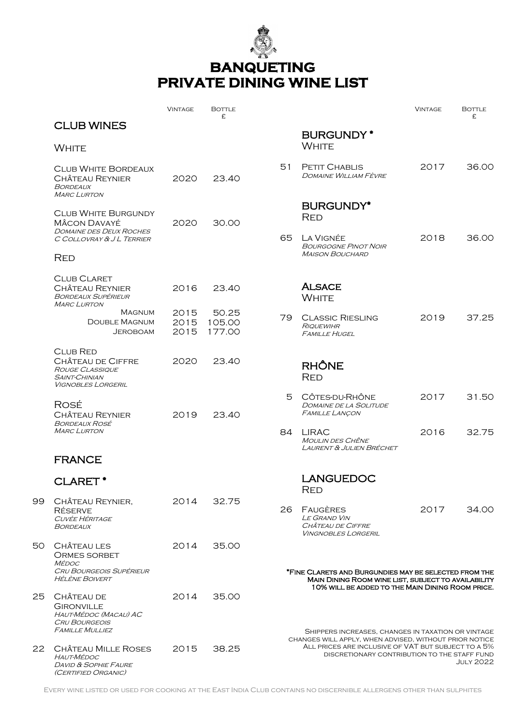

## **BANQUETING PRIVATE DINING WINE LIST**

|    |                                                                                                                            | <b>VINTAGE</b>       | <b>BOTTLE</b><br>£.       |       |                                                                                                                                                                                   | <b>VINTAGE</b> | <b>BOTTLE</b><br>£ |  |  |
|----|----------------------------------------------------------------------------------------------------------------------------|----------------------|---------------------------|-------|-----------------------------------------------------------------------------------------------------------------------------------------------------------------------------------|----------------|--------------------|--|--|
|    | <b>CLUB WINES</b>                                                                                                          |                      |                           |       | <b>BURGUNDY*</b>                                                                                                                                                                  |                |                    |  |  |
|    | <b>WHITE</b>                                                                                                               |                      |                           |       | <b>WHITE</b>                                                                                                                                                                      |                |                    |  |  |
|    | <b>CLUB WHITE BORDEAUX</b><br><b>CHÂTEAU REYNIER</b><br>BORDEAUX<br><b>MARC LURTON</b>                                     | 2020                 | 23.40                     | 51    | <b>PETIT CHABLIS</b><br>DOMAINE WILLIAM FÈVRE                                                                                                                                     | 2017           | 36.00              |  |  |
|    | <b>CLUB WHITE BURGUNDY</b><br><b>MÂCON DAVAYÉ</b><br><b>DOMAINE DES DEUX ROCHES</b><br>C COLLOVRAY & J L TERRIER           | 2020                 | 30.00                     | 65    | <b>BURGUNDY*</b><br><b>RED</b><br>LA VIGNÉE                                                                                                                                       | 2018           | 36.00              |  |  |
|    | <b>RED</b>                                                                                                                 |                      |                           |       | <b>BOURGOGNE PINOT NOIR</b><br><b>MAISON BOUCHARD</b>                                                                                                                             |                |                    |  |  |
|    | <b>CLUB CLARET</b><br><b>CHÂTEAU REYNIER</b><br><b>BORDEAUX SUPÉRIEUR</b><br><b>MARC LURTON</b>                            | 2016                 | 23.40                     |       | <b>ALSACE</b><br><b>WHITE</b>                                                                                                                                                     |                |                    |  |  |
|    | <b>MAGNUM</b><br><b>DOUBLE MAGNUM</b><br><b>JEROBOAM</b>                                                                   | 2015<br>2015<br>2015 | 50.25<br>105.00<br>177.00 | 79    | <b>CLASSIC RIESLING</b><br><b>RIQUEWIHR</b><br><b>FAMILLE HUGEL</b>                                                                                                               | 2019           | 37.25              |  |  |
|    | <b>CLUB RED</b><br><b>CHÂTEAU DE CIFFRE</b><br><b>ROUGE CLASSIQUE</b><br><b>SAINT-CHINIAN</b><br><b>VIGNOBLES LORGERIL</b> | 2020                 | 23.40                     |       | <b>RHÔNE</b><br><b>RED</b>                                                                                                                                                        |                |                    |  |  |
|    | ROSÉ<br><b>CHÂTEAU REYNIER</b><br><b>BORDEAUX ROSÉ</b>                                                                     | 2019                 | 23.40                     | $5 -$ | CÔTES-DU-RHÔNE<br><b>DOMAINE DE LA SOLITUDE</b><br><b>FAMILLE LANÇON</b>                                                                                                          | 2017           | 31.50              |  |  |
|    | <b>MARC LURTON</b>                                                                                                         |                      |                           |       | 84 LIRAC<br><b>MOULIN DES CHÊNE</b><br><b>LAURENT &amp; JULIEN BRÉCHET</b>                                                                                                        | 2016           | 32.75              |  |  |
|    | <b>FRANCE</b>                                                                                                              |                      |                           |       |                                                                                                                                                                                   |                |                    |  |  |
|    | <b>CLARET*</b>                                                                                                             |                      |                           |       | <b>LANGUEDOC</b><br><b>KED</b>                                                                                                                                                    |                |                    |  |  |
| 99 | CHÂTEAU REYNIER,<br><b>RÉSERVE</b><br><b>CUVÉE HÉRITAGE</b><br><b>BORDEAUX</b>                                             | 2014                 | 32.75                     | 26.   | FAUGÈRES<br><b>LE GRAND VIN</b><br>CHÂTEAU DE CIFFRE<br><b>VINGNOBLES LORGERIL</b>                                                                                                | 2017           | 34.00              |  |  |
| 50 | CHÂTEAU LES<br><b>ORMES SORBET</b><br><b>MÉDOC</b>                                                                         | 2014                 | 35.00                     |       |                                                                                                                                                                                   |                |                    |  |  |
|    | <b>CRU BOURGEOIS SUPÉRIEUR</b><br><b>HÉLÈNE BOIVERT</b>                                                                    |                      |                           |       | *FINE CLARETS AND BURGUNDIES MAY BE SELECTED FROM THE<br>MAIN DINING ROOM WINE LIST, SUBJECT TO AVAILABILITY<br>10% WILL BE ADDED TO THE MAIN DINING ROOM PRICE.                  |                |                    |  |  |
| 25 | CHÂTEAU DE<br><b>GIRONVILLE</b><br>HAUT-MÉDOC (MACAU) AC<br><b>CRU BOURGEOIS</b><br><b>FAMILLE MULLIEZ</b>                 | 2014                 | 35.00                     |       | SHIPPERS INCREASES, CHANGES IN TAXATION OR VINTAGE                                                                                                                                |                |                    |  |  |
|    | 22 CHÂTEAU MILLE ROSES<br><i>HAUT-MÉDOC</i><br><b>DAVID &amp; SOPHIE FAURE</b><br>(CERTIFIED ORGANIC)                      | 2015                 | 38.25                     |       | CHANGES WILL APPLY, WHEN ADVISED, WITHOUT PRIOR NOTICE<br>ALL PRICES ARE INCLUSIVE OF VAT BUT SUBJECT TO A 5%<br>DISCRETIONARY CONTRIBUTION TO THE STAFF FUND<br><b>JULY 2022</b> |                |                    |  |  |

Every wine listed or used for cooking at the East India Club contains no discernible allergens other than sulphites